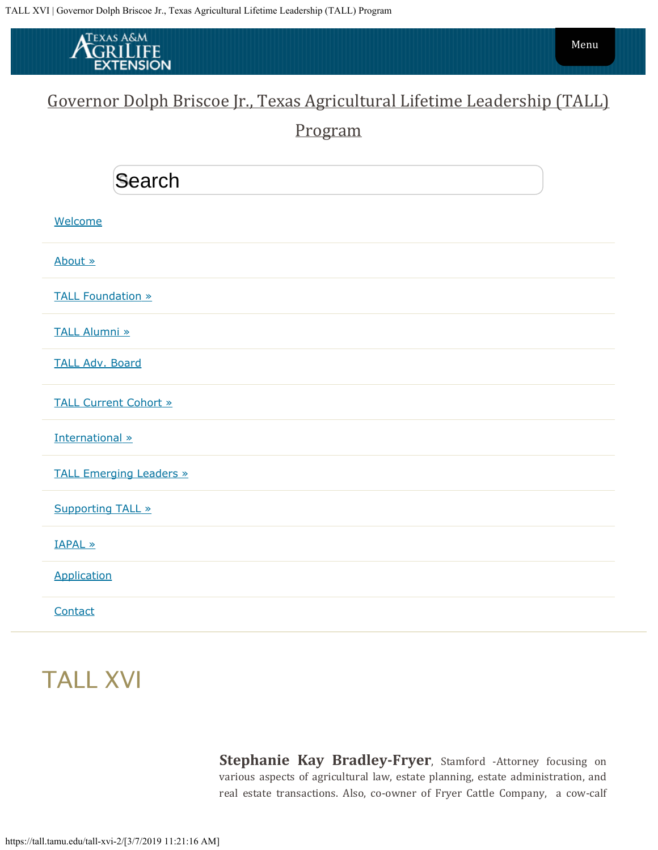<span id="page-0-0"></span>

## [Governor Dolph Briscoe Jr., Texas Agricultural Lifetime Leadership \(TALL\)](https://tall.tamu.edu/)

[Program](https://tall.tamu.edu/)

| Search                         |
|--------------------------------|
| Welcome                        |
| About »                        |
| <b>TALL Foundation »</b>       |
| <b>TALL Alumni »</b>           |
| <b>TALL Adv. Board</b>         |
| <b>TALL Current Cohort »</b>   |
| International »                |
| <b>TALL Emerging Leaders »</b> |
| <b>Supporting TALL »</b>       |
| <b>IAPAL »</b>                 |
| Application                    |
| Contact                        |

## TALL XVI

**Stephanie Kay Bradley-Fryer**, Stamford -Attorney focusing on various aspects of agricultural law, estate planning, estate administration, and real estate transactions. Also, co-owner of Fryer Cattle Company, a cow-calf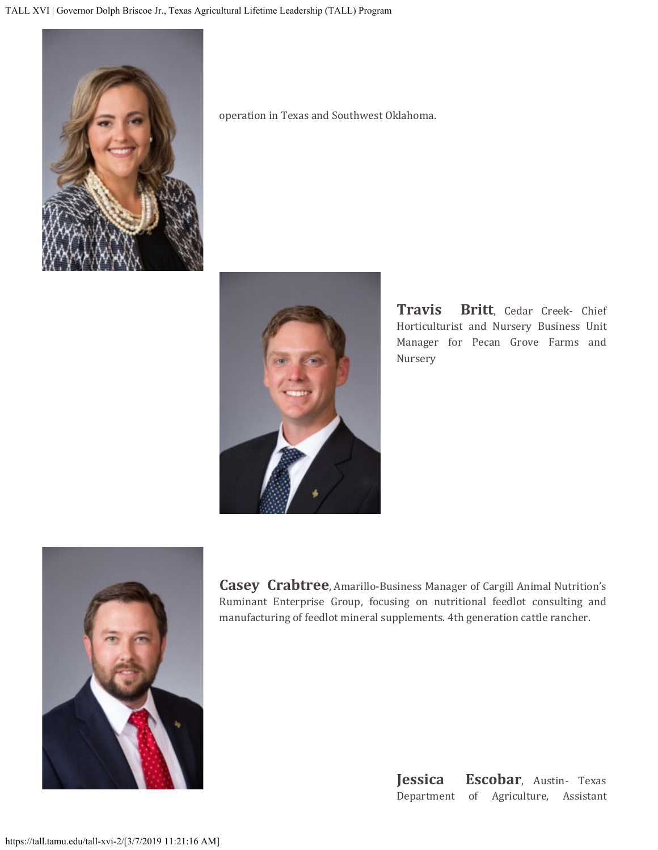

operation in Texas and Southwest Oklahoma.



**Travis Britt**, Cedar Creek- Chief Horticulturist and Nursery Business Unit Manager for Pecan Grove Farms and Nursery



**Casey Crabtree**, Amarillo-Business Manager of Cargill Animal Nutrition's Ruminant Enterprise Group, focusing on nutritional feedlot consulting and manufacturing of feedlot mineral supplements. 4th generation cattle rancher.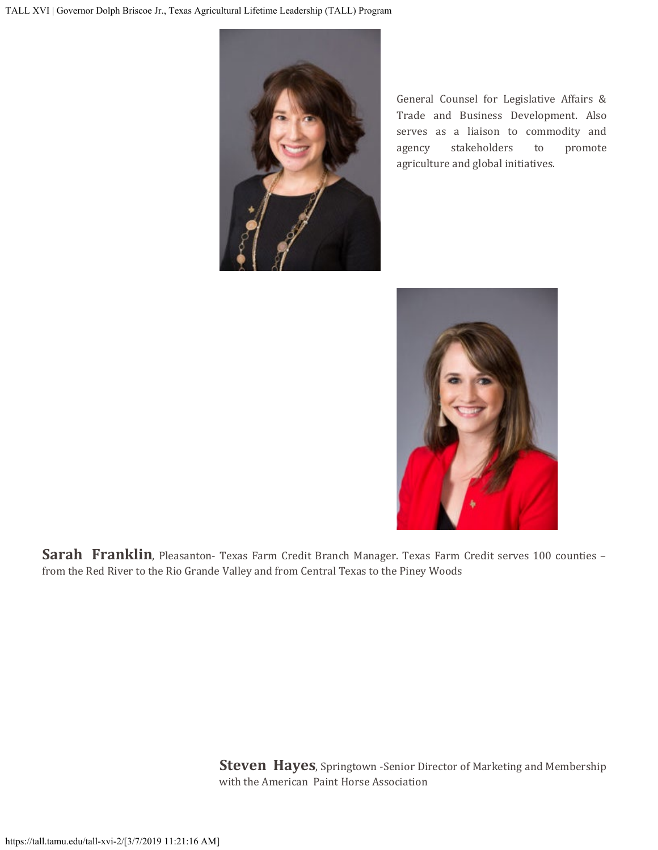

General Counsel for Legislative Affairs & Trade and Business Development. Also serves as a liaison to commodity and agency stakeholders to promote agriculture and global initiatives.



Sarah Franklin, Pleasanton- Texas Farm Credit Branch Manager. Texas Farm Credit serves 100 counties from the Red River to the Rio Grande Valley and from Central Texas to the Piney Woods

> **Steven Hayes**, Springtown -Senior Director of Marketing and Membership with the American Paint Horse Association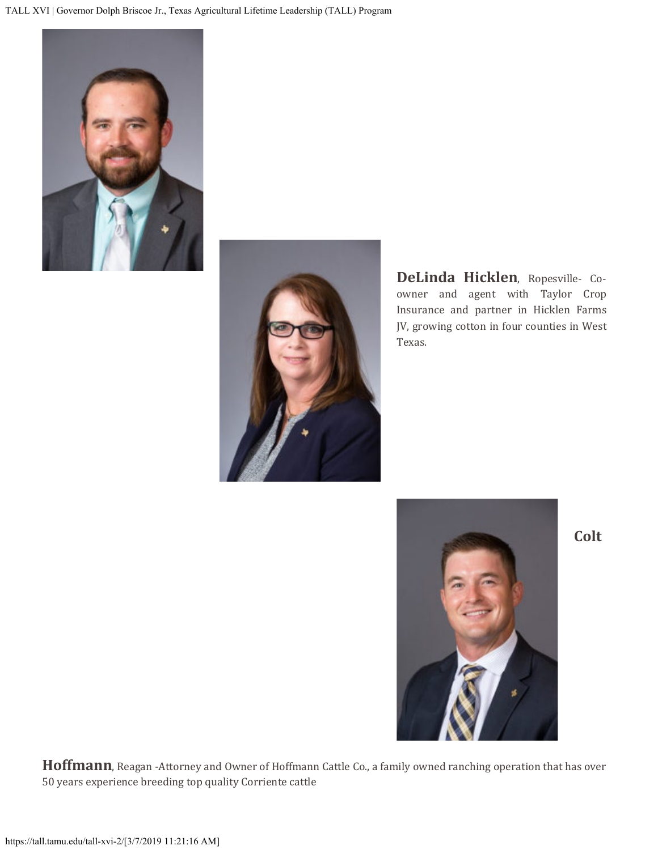



**DeLinda Hicklen**, Ropesville- Coowner and agent with Taylor Crop Insurance and partner in Hicklen Farms JV, growing cotton in four counties in West Texas.



**Colt**

**Hoffmann**, Reagan -Attorney and Owner of Hoffmann Cattle Co., a family owned ranching operation that has over 50 years experience breeding top quality Corriente cattle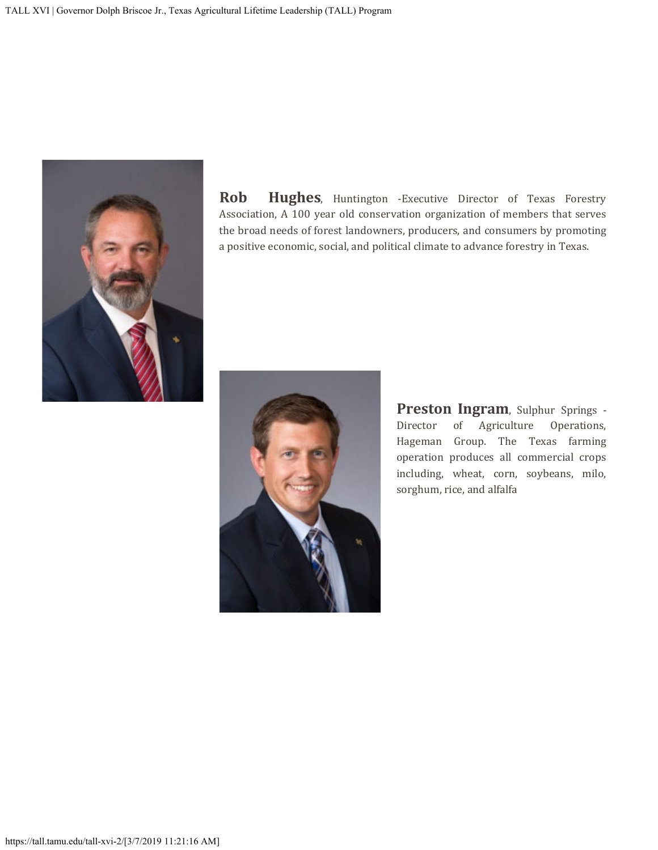

**Rob Hughes**, Huntington -Executive Director of Texas Forestry Association, A 100 year old conservation organization of members that serves the broad needs of forest landowners, producers, and consumers by promoting a positive economic, social, and political climate to advance forestry in Texas.



**Preston Ingram**, Sulphur Springs - Director of Agriculture Operations, of Agriculture Operations, Hageman Group. The Texas farming operation produces all commercial crops including, wheat, corn, soybeans, milo, sorghum, rice, and alfalfa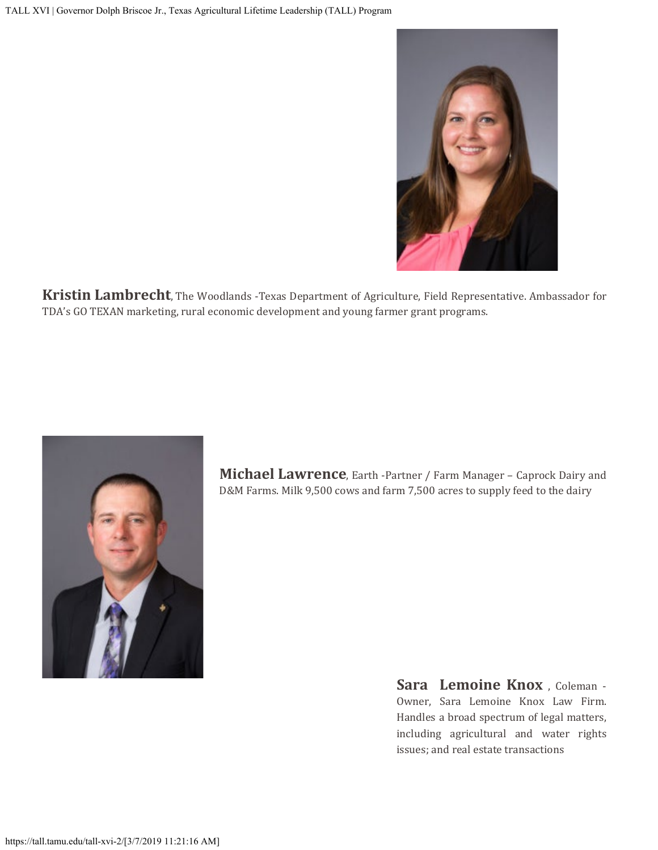

**Kristin Lambrecht**, The Woodlands -Texas Department of Agriculture, Field Representative. Ambassador for TDA's GO TEXAN marketing, rural economic development and young farmer grant programs.



**Michael Lawrence**, Earth -Partner / Farm Manager – Caprock Dairy and D&M Farms. Milk 9,500 cows and farm 7,500 acres to supply feed to the dairy

> **Sara Lemoine Knox** , Coleman - Owner, Sara Lemoine Knox Law Firm. Handles a broad spectrum of legal matters, including agricultural and water rights issues; and real estate transactions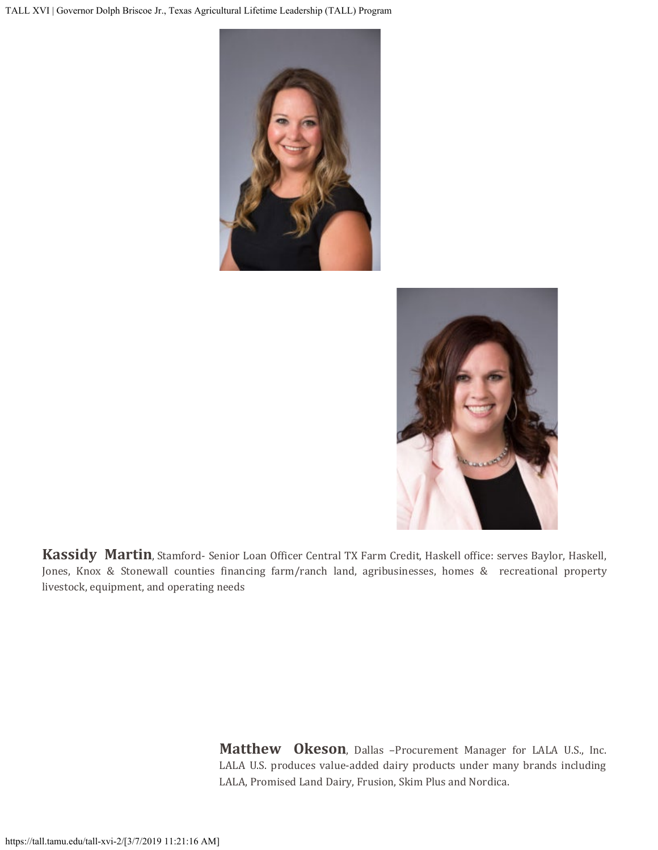



**Kassidy Martin**, Stamford- Senior Loan Officer Central TX Farm Credit, Haskell office: serves Baylor, Haskell, Jones, Knox & Stonewall counties financing farm/ranch land, agribusinesses, homes & recreational property livestock, equipment, and operating needs

> **Matthew Okeson**, Dallas –Procurement Manager for LALA U.S., Inc. LALA U.S. produces value-added dairy products under many brands including LALA, Promised Land Dairy, Frusion, Skim Plus and Nordica.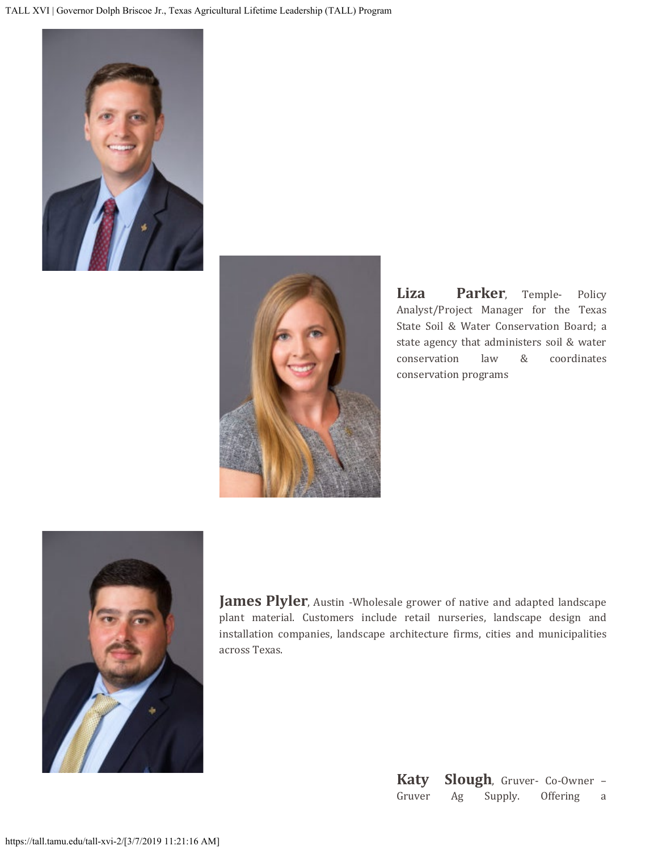



**Liza Parker**, Temple- Policy Analyst/Project Manager for the Texas State Soil & Water Conservation Board; a state agency that administers soil & water conservation law & coordinates conservation programs



**James Plyler**, Austin -Wholesale grower of native and adapted landscape plant material. Customers include retail nurseries, landscape design and installation companies, landscape architecture firms, cities and municipalities across Texas.

| Katy   |    |         | <b>Slough</b> , Gruver- Co-Owner - |   |
|--------|----|---------|------------------------------------|---|
| Gruver | Ag | Supply. | <b>Offering</b>                    | a |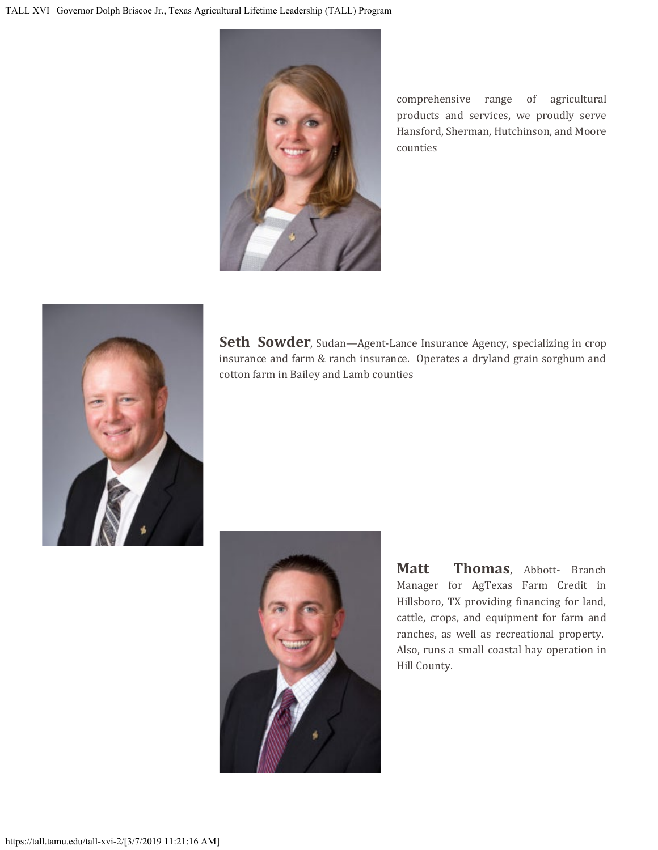

comprehensive range of agricultural products and services, we proudly serve Hansford, Sherman, Hutchinson, and Moore counties



**Seth Sowder**, Sudan—Agent-Lance Insurance Agency, specializing in crop insurance and farm & ranch insurance. Operates a dryland grain sorghum and cotton farm in Bailey and Lamb counties



**Matt Thomas**, Abbott- Branch Manager for AgTexas Farm Credit in Hillsboro, TX providing financing for land, cattle, crops, and equipment for farm and ranches, as well as recreational property. Also, runs a small coastal hay operation in Hill County.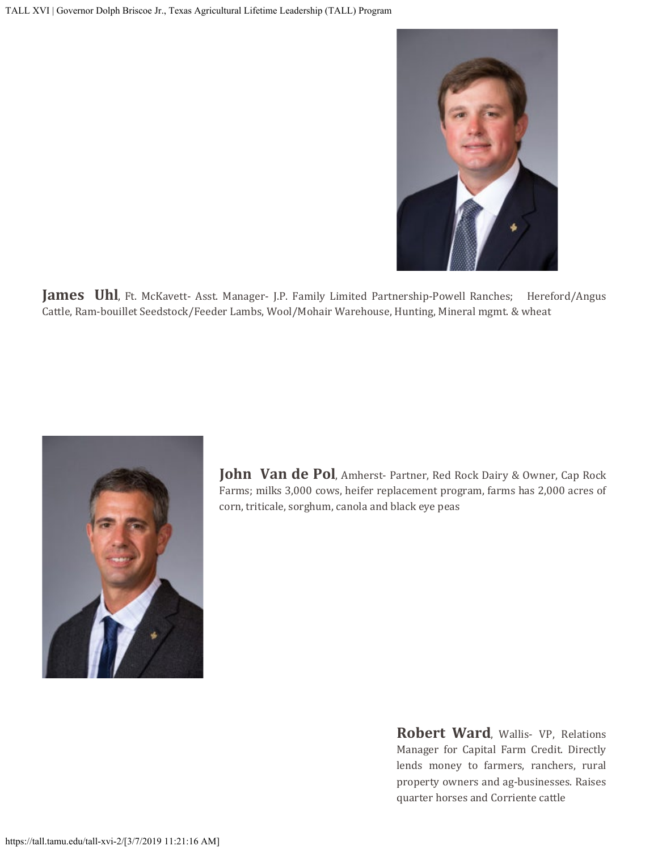

**James Uhl**, Ft. McKavett- Asst. Manager- J.P. Family Limited Partnership-Powell Ranches; Hereford/Angus Cattle, Ram-bouillet Seedstock/Feeder Lambs, Wool/Mohair Warehouse, Hunting, Mineral mgmt. & wheat



John Van de Pol, Amherst- Partner, Red Rock Dairy & Owner, Cap Rock Farms; milks 3,000 cows, heifer replacement program, farms has 2,000 acres of corn, triticale, sorghum, canola and black eye peas

> **Robert Ward**, Wallis- VP, Relations Manager for Capital Farm Credit. Directly lends money to farmers, ranchers, rural property owners and ag-businesses. Raises quarter horses and Corriente cattle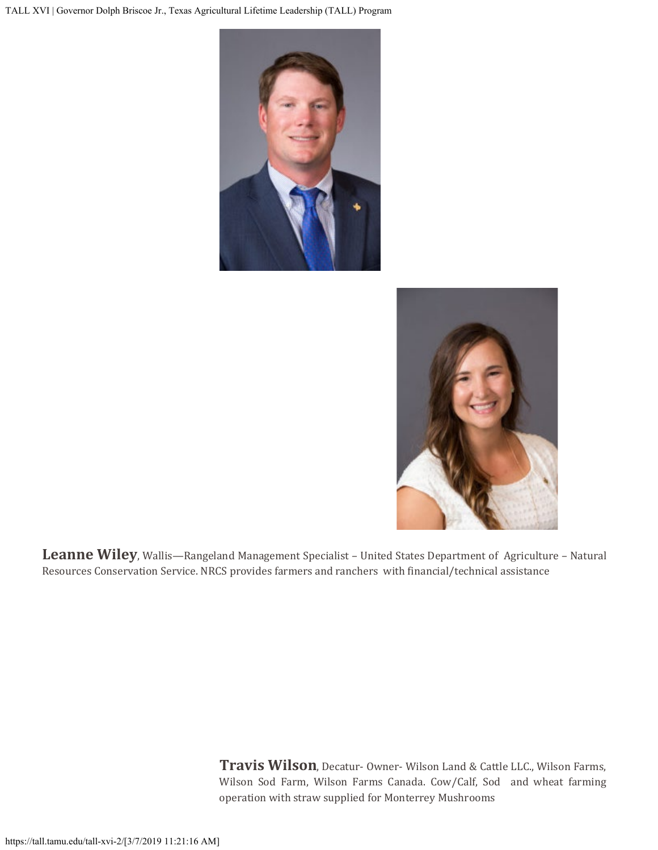



**Leanne Wiley**, Wallis—Rangeland Management Specialist – United States Department of Agriculture – Natural Resources Conservation Service. NRCS provides farmers and ranchers with financial/technical assistance

> **Travis Wilson**, Decatur- Owner- Wilson Land & Cattle LLC., Wilson Farms, Wilson Sod Farm, Wilson Farms Canada. Cow/Calf, Sod and wheat farming operation with straw supplied for Monterrey Mushrooms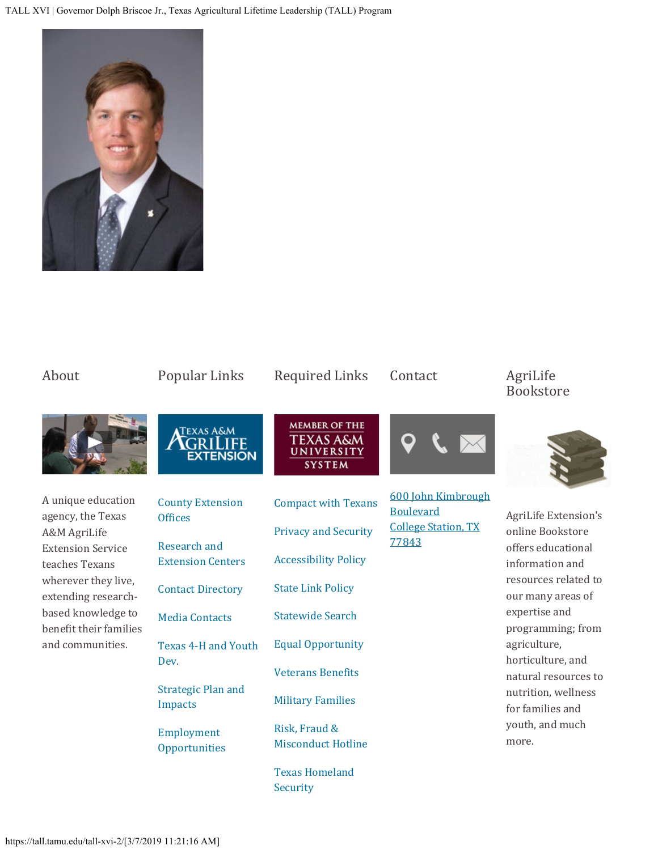TALL XVI | Governor Dolph Briscoe Jr., Texas Agricultural Lifetime Leadership (TALL) Program



| About                                                                                                 | Popular Links                                                              | <b>Required Links</b>                                            | Contact                                                                       | AgriLife<br><b>Bookstore</b>                                                                                                                                           |
|-------------------------------------------------------------------------------------------------------|----------------------------------------------------------------------------|------------------------------------------------------------------|-------------------------------------------------------------------------------|------------------------------------------------------------------------------------------------------------------------------------------------------------------------|
|                                                                                                       | <b>TEXAS A&amp;M</b><br><b>JFE</b><br><b>EXTENSION</b>                     | <b>MEMBER OF THE</b><br>TEXAS A&M<br>UNIVERSITY<br><b>SYSTEM</b> |                                                                               |                                                                                                                                                                        |
| A unique education<br>agency, the Texas<br>A&M AgriLife<br><b>Extension Service</b><br>teaches Texans | <b>County Extension</b><br><b>Offices</b>                                  | <b>Compact with Texans</b>                                       | 600 John Kimbrough<br><b>Boulevard</b><br><b>College Station, TX</b><br>77843 | <b>AgriLife Extension's</b><br>online Bookstore                                                                                                                        |
|                                                                                                       | Research and<br><b>Extension Centers</b>                                   | <b>Privacy and Security</b>                                      |                                                                               |                                                                                                                                                                        |
|                                                                                                       |                                                                            | <b>Accessibility Policy</b>                                      |                                                                               | offers educational<br>information and                                                                                                                                  |
| wherever they live,<br>extending research-                                                            | <b>Contact Directory</b>                                                   | <b>State Link Policy</b>                                         |                                                                               | resources related to<br>our many areas of                                                                                                                              |
| based knowledge to<br>benefit their families<br>and communities.                                      | <b>Media Contacts</b>                                                      | <b>Statewide Search</b>                                          |                                                                               | expertise and<br>programming; from<br>agriculture,<br>horticulture, and<br>natural resources to<br>nutrition, wellness<br>for families and<br>youth, and much<br>more. |
|                                                                                                       | <b>Texas 4-H and Youth</b><br>Dev.<br><b>Strategic Plan and</b><br>Impacts | <b>Equal Opportunity</b>                                         |                                                                               |                                                                                                                                                                        |
|                                                                                                       |                                                                            | <b>Veterans Benefits</b>                                         |                                                                               |                                                                                                                                                                        |
|                                                                                                       |                                                                            | <b>Military Families</b>                                         |                                                                               |                                                                                                                                                                        |
|                                                                                                       | Employment<br>Opportunities                                                | Risk, Fraud &<br><b>Misconduct Hotline</b>                       |                                                                               |                                                                                                                                                                        |
|                                                                                                       |                                                                            | <b>Texas Homeland</b>                                            |                                                                               |                                                                                                                                                                        |

[Security](https://gov.texas.gov/organization/hsgd)

## https://tall.tamu.edu/tall-xvi-2/[3/7/2019 11:21:16 AM]